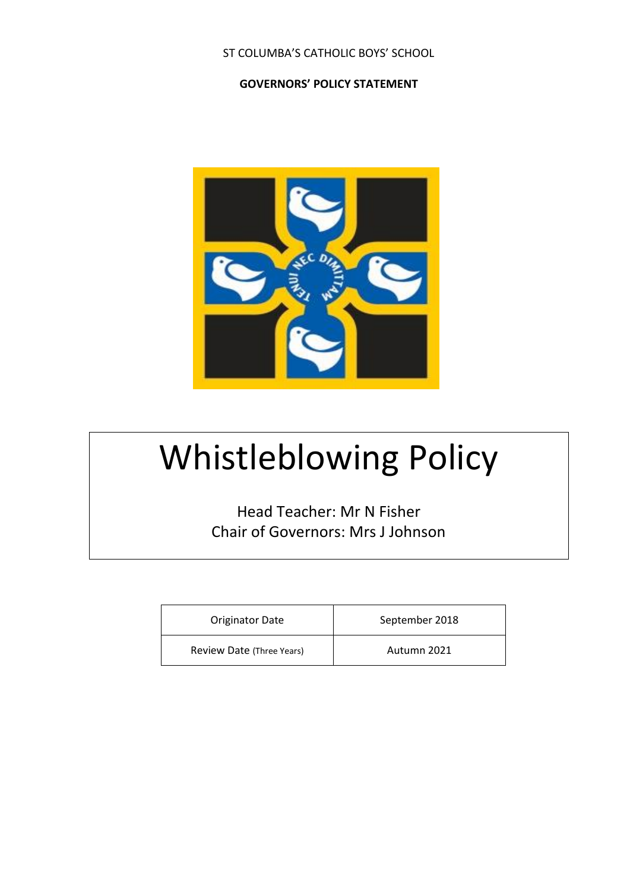## ST COLUMBA'S CATHOLIC BOYS' SCHOOL

### **GOVERNORS' POLICY STATEMENT**



# Whistleblowing Policy

Head Teacher: Mr N Fisher Chair of Governors: Mrs J Johnson

| Originator Date           | September 2018 |
|---------------------------|----------------|
| Review Date (Three Years) | Autumn 2021    |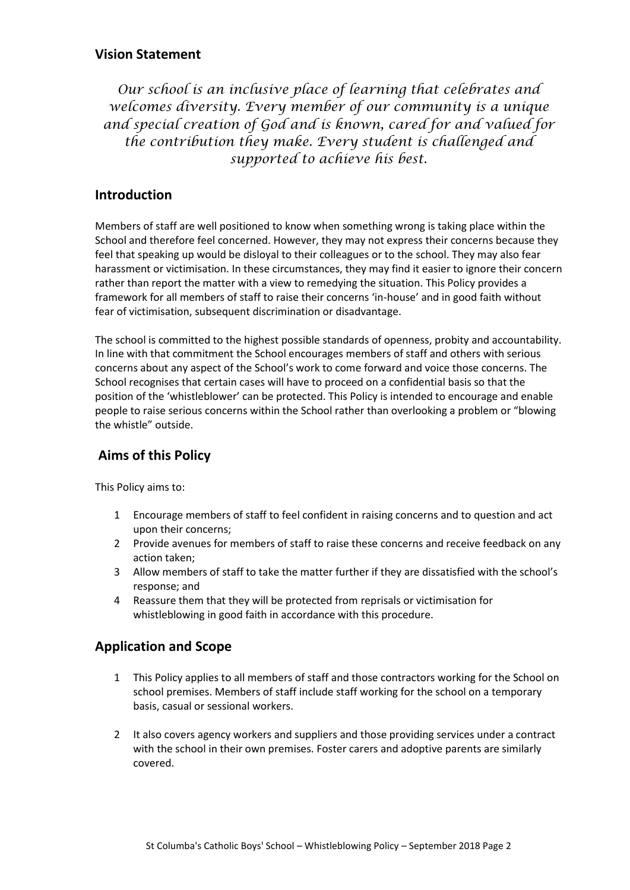# **Vision Statement**

*Our school is an inclusive place of learning that celebrates and welcomes diversity. Every member of our community is a unique and special creation of God and is known, cared for and valued for the contribution they make. Every student is challenged and supported to achieve his best.*

# **Introduction**

Members of staff are well positioned to know when something wrong is taking place within the School and therefore feel concerned. However, they may not express their concerns because they feel that speaking up would be disloyal to their colleagues or to the school. They may also fear harassment or victimisation. In these circumstances, they may find it easier to ignore their concern rather than report the matter with a view to remedying the situation. This Policy provides a framework for all members of staff to raise their concerns 'in-house' and in good faith without fear of victimisation, subsequent discrimination or disadvantage.

The school is committed to the highest possible standards of openness, probity and accountability. In line with that commitment the School encourages members of staff and others with serious concerns about any aspect of the School's work to come forward and voice those concerns. The School recognises that certain cases will have to proceed on a confidential basis so that the position of the 'whistleblower' can be protected. This Policy is intended to encourage and enable people to raise serious concerns within the School rather than overlooking a problem or "blowing the whistle" outside.

# **Aims of this Policy**

This Policy aims to:

- 1 Encourage members of staff to feel confident in raising concerns and to question and act upon their concerns;
- 2 Provide avenues for members of staff to raise these concerns and receive feedback on any action taken;
- 3 Allow members of staff to take the matter further if they are dissatisfied with the school's response; and
- 4 Reassure them that they will be protected from reprisals or victimisation for whistleblowing in good faith in accordance with this procedure.

# **Application and Scope**

- 1 This Policy applies to all members of staff and those contractors working for the School on school premises. Members of staff include staff working for the school on a temporary basis, casual or sessional workers.
- 2 It also covers agency workers and suppliers and those providing services under a contract with the school in their own premises. Foster carers and adoptive parents are similarly covered.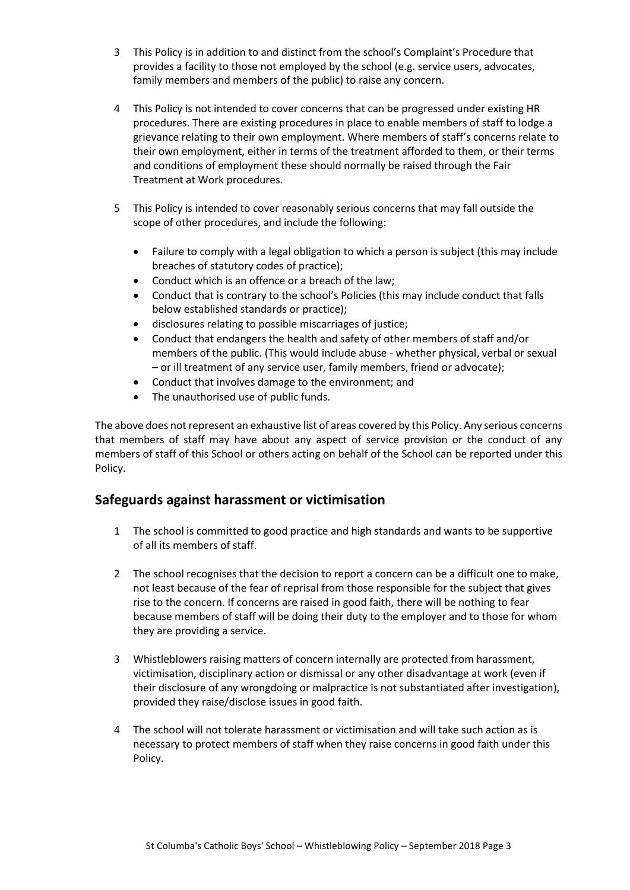- 3 This Policy is in addition to and distinct from the school's Complaint's Procedure that provides a facility to those not employed by the school (e.g. service users, advocates, family members and members of the public) to raise any concern.
- 4 This Policy is not intended to cover concerns that can be progressed under existing HR procedures. There are existing procedures in place to enable members of staff to lodge a grievance relating to their own employment. Where members of staff's concerns relate to their own employment, either in terms of the treatment afforded to them, or their terms and conditions of employment these should normally be raised through the Fair Treatment at Work procedures.
- 5 This Policy is intended to cover reasonably serious concerns that may fall outside the scope of other procedures, and include the following:
	- Failure to comply with a legal obligation to which a person is subject (this may include breaches of statutory codes of practice);
	- Conduct which is an offence or a breach of the law;
	- Conduct that is contrary to the school's Policies (this may include conduct that falls below established standards or practice);
	- disclosures relating to possible miscarriages of justice;
	- Conduct that endangers the health and safety of other members of staff and/or members of the public. (This would include abuse - whether physical, verbal or sexual – or ill treatment of any service user, family members, friend or advocate);
	- Conduct that involves damage to the environment; and
	- The unauthorised use of public funds.

The above does not represent an exhaustive list of areas covered by this Policy. Any serious concerns that members of staff may have about any aspect of service provision or the conduct of any members of staff of this School or others acting on behalf of the School can be reported under this Policy.

## **Safeguards against harassment or victimisation**

- 1 The school is committed to good practice and high standards and wants to be supportive of all its members of staff.
- 2 The school recognises that the decision to report a concern can be a difficult one to make, not least because of the fear of reprisal from those responsible for the subject that gives rise to the concern. If concerns are raised in good faith, there will be nothing to fear because members of staff will be doing their duty to the employer and to those for whom they are providing a service.
- 3 Whistleblowers raising matters of concern internally are protected from harassment, victimisation, disciplinary action or dismissal or any other disadvantage at work (even if their disclosure of any wrongdoing or malpractice is not substantiated after investigation), provided they raise/disclose issues in good faith.
- 4 The school will not tolerate harassment or victimisation and will take such action as is necessary to protect members of staff when they raise concerns in good faith under this Policy.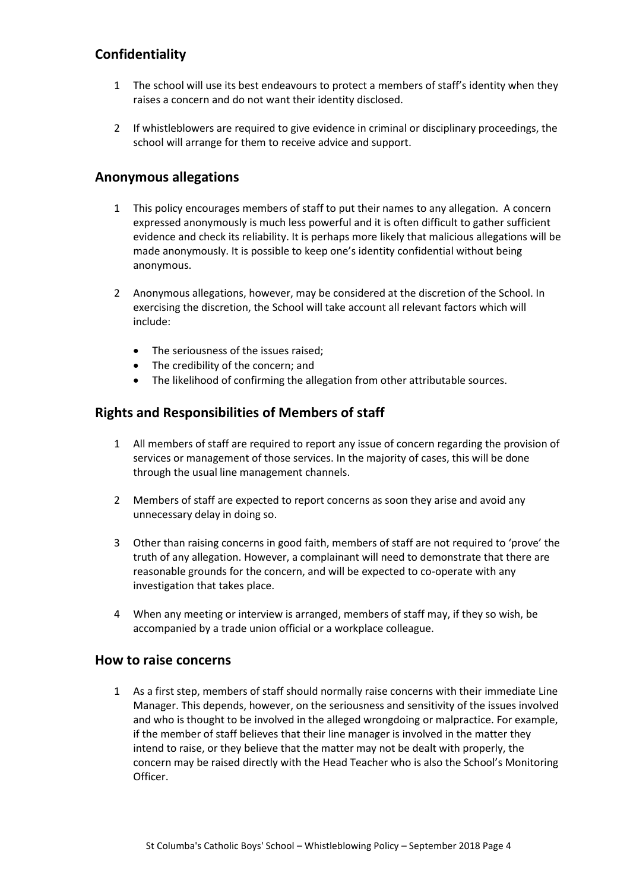# **Confidentiality**

- 1 The school will use its best endeavours to protect a members of staff's identity when they raises a concern and do not want their identity disclosed.
- 2 If whistleblowers are required to give evidence in criminal or disciplinary proceedings, the school will arrange for them to receive advice and support.

# **Anonymous allegations**

- 1 This policy encourages members of staff to put their names to any allegation. A concern expressed anonymously is much less powerful and it is often difficult to gather sufficient evidence and check its reliability. It is perhaps more likely that malicious allegations will be made anonymously. It is possible to keep one's identity confidential without being anonymous.
- 2 Anonymous allegations, however, may be considered at the discretion of the School. In exercising the discretion, the School will take account all relevant factors which will include:
	- The seriousness of the issues raised:
	- The credibility of the concern; and
	- The likelihood of confirming the allegation from other attributable sources.

## **Rights and Responsibilities of Members of staff**

- 1 All members of staff are required to report any issue of concern regarding the provision of services or management of those services. In the majority of cases, this will be done through the usual line management channels.
- 2 Members of staff are expected to report concerns as soon they arise and avoid any unnecessary delay in doing so.
- 3 Other than raising concerns in good faith, members of staff are not required to 'prove' the truth of any allegation. However, a complainant will need to demonstrate that there are reasonable grounds for the concern, and will be expected to co-operate with any investigation that takes place.
- 4 When any meeting or interview is arranged, members of staff may, if they so wish, be accompanied by a trade union official or a workplace colleague.

#### **How to raise concerns**

1 As a first step, members of staff should normally raise concerns with their immediate Line Manager. This depends, however, on the seriousness and sensitivity of the issues involved and who is thought to be involved in the alleged wrongdoing or malpractice. For example, if the member of staff believes that their line manager is involved in the matter they intend to raise, or they believe that the matter may not be dealt with properly, the concern may be raised directly with the Head Teacher who is also the School's Monitoring Officer.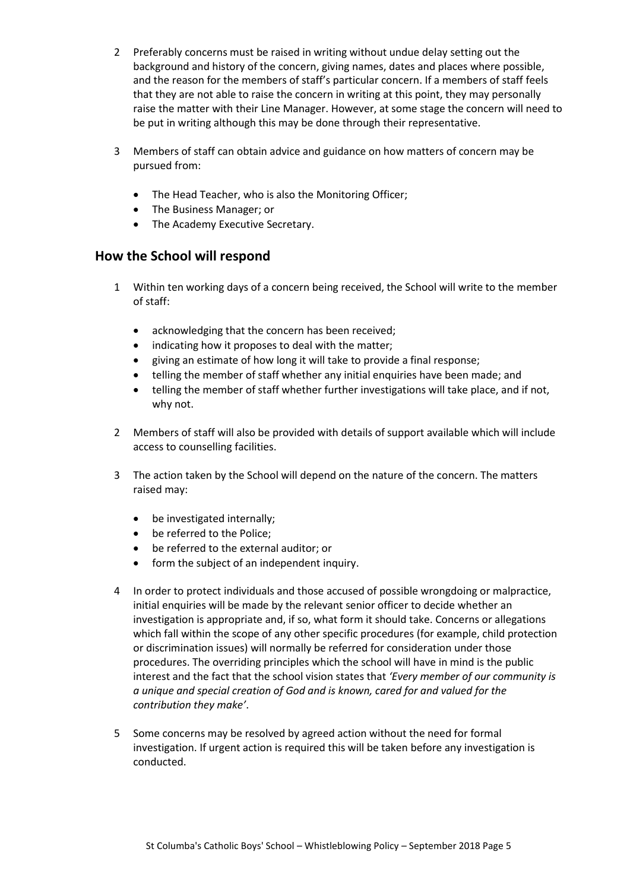- 2 Preferably concerns must be raised in writing without undue delay setting out the background and history of the concern, giving names, dates and places where possible, and the reason for the members of staff's particular concern. If a members of staff feels that they are not able to raise the concern in writing at this point, they may personally raise the matter with their Line Manager. However, at some stage the concern will need to be put in writing although this may be done through their representative.
- 3 Members of staff can obtain advice and guidance on how matters of concern may be pursued from:
	- The Head Teacher, who is also the Monitoring Officer;
	- The Business Manager; or
	- The Academy Executive Secretary.

# **How the School will respond**

- 1 Within ten working days of a concern being received, the School will write to the member of staff:
	- acknowledging that the concern has been received;
	- indicating how it proposes to deal with the matter;
	- giving an estimate of how long it will take to provide a final response;
	- telling the member of staff whether any initial enquiries have been made; and
	- telling the member of staff whether further investigations will take place, and if not, why not.
- 2 Members of staff will also be provided with details of support available which will include access to counselling facilities.
- 3 The action taken by the School will depend on the nature of the concern. The matters raised may:
	- be investigated internally;
	- be referred to the Police;
	- be referred to the external auditor; or
	- form the subject of an independent inquiry.
- 4 In order to protect individuals and those accused of possible wrongdoing or malpractice, initial enquiries will be made by the relevant senior officer to decide whether an investigation is appropriate and, if so, what form it should take. Concerns or allegations which fall within the scope of any other specific procedures (for example, child protection or discrimination issues) will normally be referred for consideration under those procedures. The overriding principles which the school will have in mind is the public interest and the fact that the school vision states that *'Every member of our community is a unique and special creation of God and is known, cared for and valued for the contribution they make'*.
- 5 Some concerns may be resolved by agreed action without the need for formal investigation. If urgent action is required this will be taken before any investigation is conducted.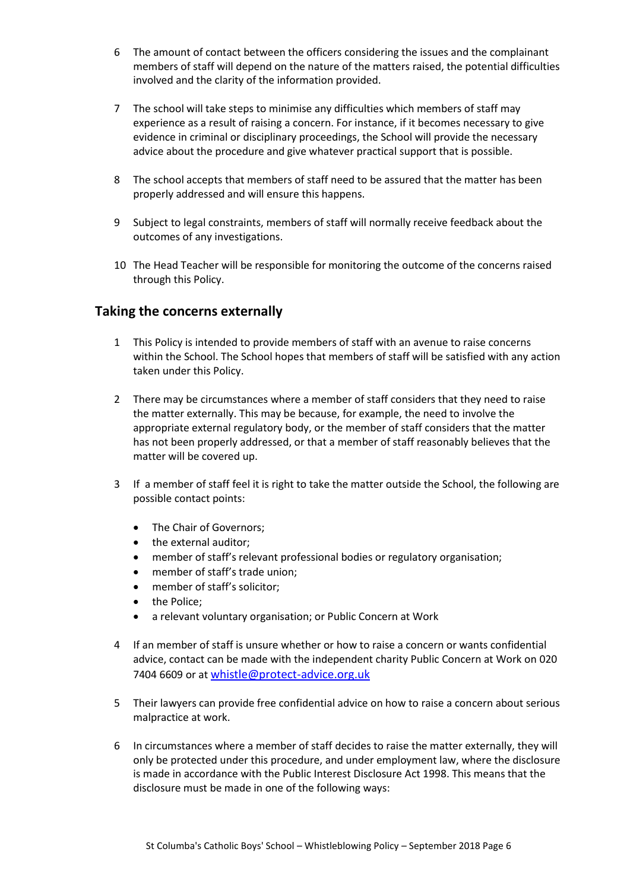- 6 The amount of contact between the officers considering the issues and the complainant members of staff will depend on the nature of the matters raised, the potential difficulties involved and the clarity of the information provided.
- 7 The school will take steps to minimise any difficulties which members of staff may experience as a result of raising a concern. For instance, if it becomes necessary to give evidence in criminal or disciplinary proceedings, the School will provide the necessary advice about the procedure and give whatever practical support that is possible.
- 8 The school accepts that members of staff need to be assured that the matter has been properly addressed and will ensure this happens.
- 9 Subject to legal constraints, members of staff will normally receive feedback about the outcomes of any investigations.
- 10 The Head Teacher will be responsible for monitoring the outcome of the concerns raised through this Policy.

# **Taking the concerns externally**

- 1 This Policy is intended to provide members of staff with an avenue to raise concerns within the School. The School hopes that members of staff will be satisfied with any action taken under this Policy.
- 2 There may be circumstances where a member of staff considers that they need to raise the matter externally. This may be because, for example, the need to involve the appropriate external regulatory body, or the member of staff considers that the matter has not been properly addressed, or that a member of staff reasonably believes that the matter will be covered up.
- 3 If a member of staff feel it is right to take the matter outside the School, the following are possible contact points:
	- The Chair of Governors;
	- the external auditor:
	- member of staff's relevant professional bodies or regulatory organisation;
	- member of staff's trade union;
	- member of staff's solicitor:
	- the Police;
	- a relevant voluntary organisation; or Public Concern at Work
- 4 If an member of staff is unsure whether or how to raise a concern or wants confidential advice, contact can be made with the independent charity Public Concern at Work on 020 7404 6609 or at [whistle@protect-advice.org.uk](mailto:whistle@protect-advice.org.uk)
- 5 Their lawyers can provide free confidential advice on how to raise a concern about serious malpractice at work.
- 6 In circumstances where a member of staff decides to raise the matter externally, they will only be protected under this procedure, and under employment law, where the disclosure is made in accordance with the Public Interest Disclosure Act 1998. This means that the disclosure must be made in one of the following ways: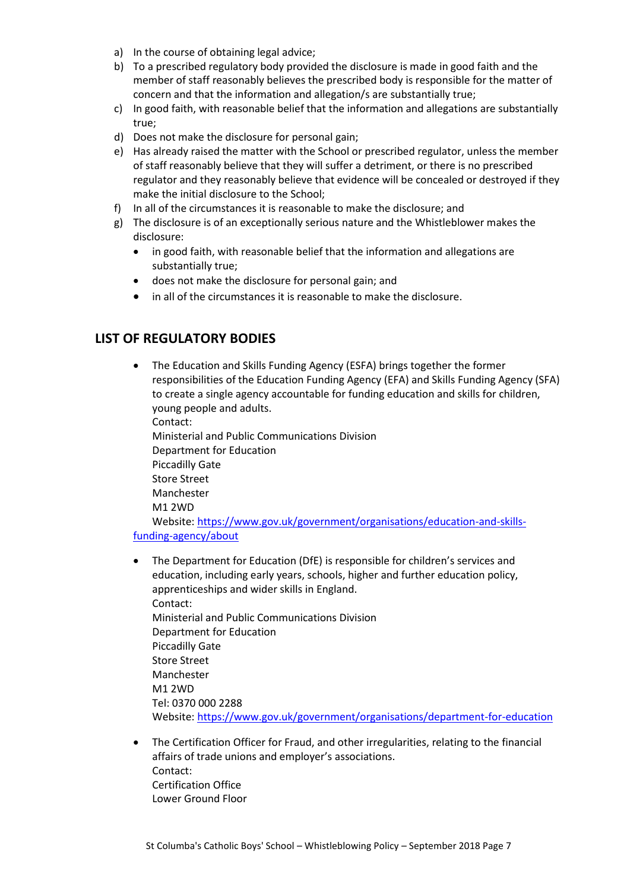- a) In the course of obtaining legal advice;
- b) To a prescribed regulatory body provided the disclosure is made in good faith and the member of staff reasonably believes the prescribed body is responsible for the matter of concern and that the information and allegation/s are substantially true;
- c) In good faith, with reasonable belief that the information and allegations are substantially true;
- d) Does not make the disclosure for personal gain;
- e) Has already raised the matter with the School or prescribed regulator, unless the member of staff reasonably believe that they will suffer a detriment, or there is no prescribed regulator and they reasonably believe that evidence will be concealed or destroyed if they make the initial disclosure to the School;
- f) In all of the circumstances it is reasonable to make the disclosure; and
- g) The disclosure is of an exceptionally serious nature and the Whistleblower makes the disclosure:
	- in good faith, with reasonable belief that the information and allegations are substantially true;
	- does not make the disclosure for personal gain; and
	- in all of the circumstances it is reasonable to make the disclosure.

# **LIST OF REGULATORY BODIES**

 The Education and Skills Funding Agency (ESFA) brings together the former responsibilities of the Education Funding Agency (EFA) and Skills Funding Agency (SFA) to create a single agency accountable for funding education and skills for children, young people and adults. Contact: Ministerial and Public Communications Division Department for Education Piccadilly Gate Store Street Manchester

M1 2WD

Website: [https://www.gov.uk/government/organisations/education-and-skills](https://www.gov.uk/government/organisations/education-and-skills-funding-agency/about)[funding-agency/about](https://www.gov.uk/government/organisations/education-and-skills-funding-agency/about)

- The Department for Education (DfE) is responsible for children's services and education, including early years, schools, higher and further education policy, apprenticeships and wider skills in England. Contact: Ministerial and Public Communications Division Department for Education Piccadilly Gate Store Street Manchester M1 2WD Tel: 0370 000 2288 Website:<https://www.gov.uk/government/organisations/department-for-education>
- The Certification Officer for Fraud, and other irregularities, relating to the financial affairs of trade unions and employer's associations. Contact: Certification Office Lower Ground Floor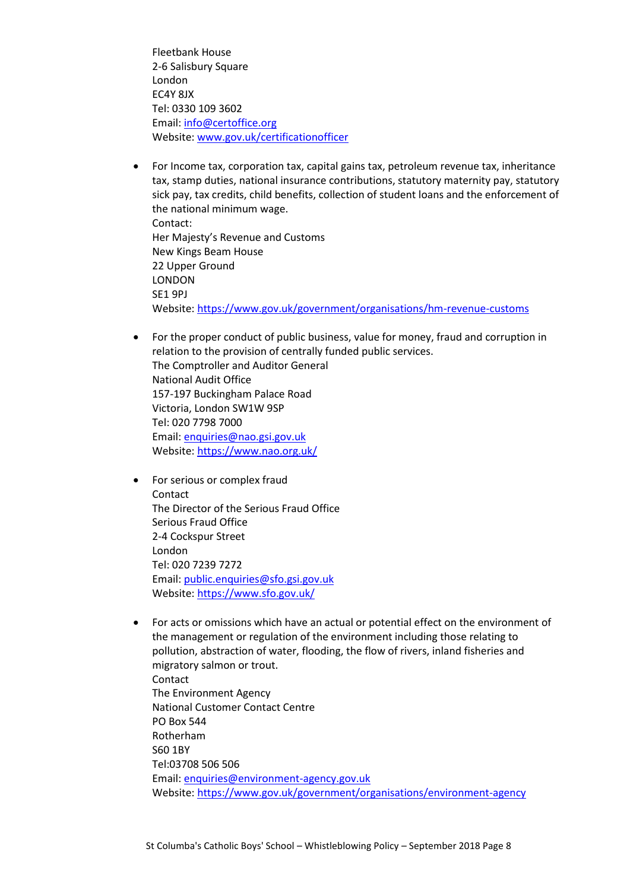Fleetbank House 2-6 Salisbury Square London EC4Y 8JX Tel: 0330 109 3602 Email: [info@certoffice.org](mailto:info@certoffice.org) Website: [www.gov.uk/certificationofficer](http://www.gov.uk/certificationofficer)

- For Income tax, corporation tax, capital gains tax, petroleum revenue tax, inheritance tax, stamp duties, national insurance contributions, statutory maternity pay, statutory sick pay, tax credits, child benefits, collection of student loans and the enforcement of the national minimum wage. Contact: Her Majesty's Revenue and Customs New Kings Beam House 22 Upper Ground LONDON SE1 9PJ Website:<https://www.gov.uk/government/organisations/hm-revenue-customs>
- For the proper conduct of public business, value for money, fraud and corruption in relation to the provision of centrally funded public services. The Comptroller and Auditor General National Audit Office 157-197 Buckingham Palace Road Victoria, London SW1W 9SP Tel: 020 7798 7000 Email: [enquiries@nao.gsi.gov.uk](mailto:enquiries@nao.gsi.gov.uk) Website:<https://www.nao.org.uk/>
- For serious or complex fraud Contact The Director of the Serious Fraud Office Serious Fraud Office 2-4 Cockspur Street London Tel: 020 7239 7272 Email: [public.enquiries@sfo.gsi.gov.uk](mailto:public.enquiries@sfo.gsi.gov.uk) Website:<https://www.sfo.gov.uk/>
- For acts or omissions which have an actual or potential effect on the environment of the management or regulation of the environment including those relating to pollution, abstraction of water, flooding, the flow of rivers, inland fisheries and migratory salmon or trout. Contact The Environment Agency National Customer Contact Centre PO Box 544 Rotherham S60 1BY Tel:03708 506 506 Email: [enquiries@environment-agency.gov.uk](mailto:enquiries@environment-agency.gov.uk) Website:<https://www.gov.uk/government/organisations/environment-agency>